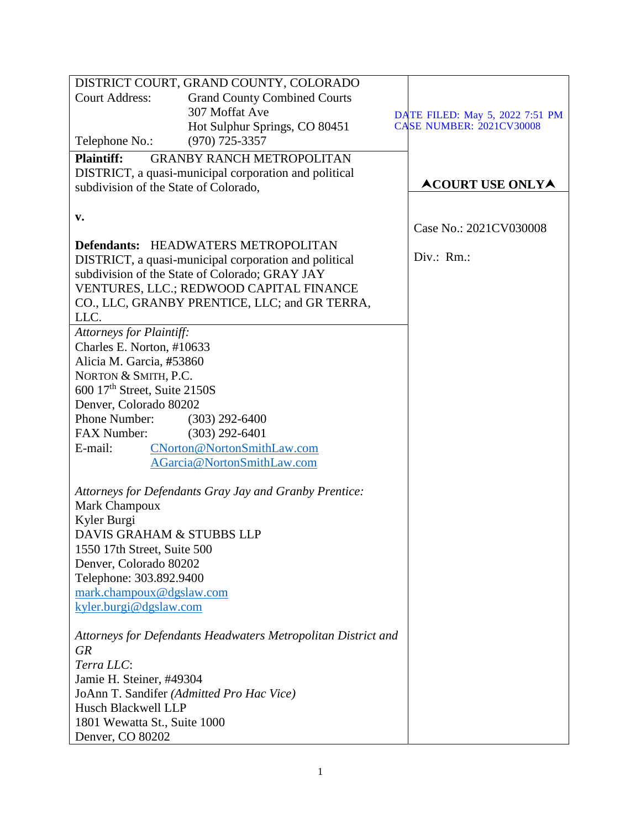|                                                                         | DISTRICT COURT, GRAND COUNTY, COLORADO                        |                                 |  |
|-------------------------------------------------------------------------|---------------------------------------------------------------|---------------------------------|--|
| <b>Court Address:</b>                                                   | <b>Grand County Combined Courts</b>                           |                                 |  |
|                                                                         | 307 Moffat Ave                                                | DATE FILED: May 5, 2022 7:51 PM |  |
|                                                                         | Hot Sulphur Springs, CO 80451                                 | <b>CASE NUMBER: 2021CV30008</b> |  |
| Telephone No.:                                                          | $(970)$ 725-3357                                              |                                 |  |
| <b>Plaintiff:</b><br><b>GRANBY RANCH METROPOLITAN</b>                   |                                                               |                                 |  |
| DISTRICT, a quasi-municipal corporation and political                   |                                                               |                                 |  |
| subdivision of the State of Colorado,                                   |                                                               | <b>ACOURT USE ONLYA</b>         |  |
|                                                                         |                                                               |                                 |  |
| v.                                                                      |                                                               |                                 |  |
|                                                                         |                                                               | Case No.: 2021CV030008          |  |
|                                                                         | <b>Defendants: HEADWATERS METROPOLITAN</b>                    |                                 |  |
| DISTRICT, a quasi-municipal corporation and political                   |                                                               | Div.: Rm.:                      |  |
| subdivision of the State of Colorado; GRAY JAY                          |                                                               |                                 |  |
| VENTURES, LLC.; REDWOOD CAPITAL FINANCE                                 |                                                               |                                 |  |
|                                                                         | CO., LLC, GRANBY PRENTICE, LLC; and GR TERRA,                 |                                 |  |
| LLC.                                                                    |                                                               |                                 |  |
| <b>Attorneys for Plaintiff:</b>                                         |                                                               |                                 |  |
| Charles E. Norton, #10633                                               |                                                               |                                 |  |
| Alicia M. Garcia, #53860                                                |                                                               |                                 |  |
| NORTON & SMITH, P.C.                                                    |                                                               |                                 |  |
| 600 17 <sup>th</sup> Street, Suite 2150S                                |                                                               |                                 |  |
| Denver, Colorado 80202                                                  |                                                               |                                 |  |
| Phone Number:                                                           | $(303)$ 292-6400                                              |                                 |  |
| <b>FAX Number:</b>                                                      | $(303)$ 292-6401                                              |                                 |  |
| E-mail:                                                                 | CNorton@NortonSmithLaw.com                                    |                                 |  |
|                                                                         | AGarcia@NortonSmithLaw.com                                    |                                 |  |
|                                                                         |                                                               |                                 |  |
| Attorneys for Defendants Gray Jay and Granby Prentice:<br>Mark Champoux |                                                               |                                 |  |
| Kyler Burgi                                                             |                                                               |                                 |  |
| DAVIS GRAHAM & STUBBS LLP                                               |                                                               |                                 |  |
| 1550 17th Street, Suite 500                                             |                                                               |                                 |  |
| Denver, Colorado 80202                                                  |                                                               |                                 |  |
| Telephone: 303.892.9400                                                 |                                                               |                                 |  |
| mark.champoux@dgslaw.com                                                |                                                               |                                 |  |
| kyler.burgi@dgslaw.com                                                  |                                                               |                                 |  |
|                                                                         |                                                               |                                 |  |
|                                                                         | Attorneys for Defendants Headwaters Metropolitan District and |                                 |  |
| <b>GR</b>                                                               |                                                               |                                 |  |
| Terra LLC:                                                              |                                                               |                                 |  |
| Jamie H. Steiner, #49304                                                |                                                               |                                 |  |
| JoAnn T. Sandifer (Admitted Pro Hac Vice)                               |                                                               |                                 |  |
| Husch Blackwell LLP                                                     |                                                               |                                 |  |
| 1801 Wewatta St., Suite 1000                                            |                                                               |                                 |  |
| Denver, CO 80202                                                        |                                                               |                                 |  |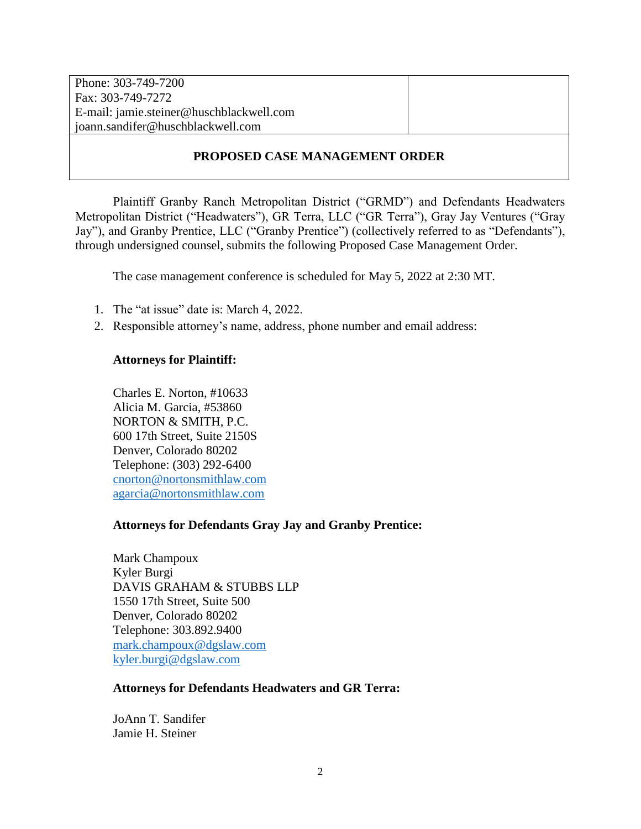| Phone: 303-749-7200                      |  |
|------------------------------------------|--|
| Fax: 303-749-7272                        |  |
| E-mail: jamie.steiner@huschblackwell.com |  |
| joann.sandifer@huschblackwell.com        |  |
|                                          |  |

# **PROPOSED CASE MANAGEMENT ORDER**

Plaintiff Granby Ranch Metropolitan District ("GRMD") and Defendants Headwaters Metropolitan District ("Headwaters"), GR Terra, LLC ("GR Terra"), Gray Jay Ventures ("Gray Jay"), and Granby Prentice, LLC ("Granby Prentice") (collectively referred to as "Defendants"), through undersigned counsel, submits the following Proposed Case Management Order.

The case management conference is scheduled for May 5, 2022 at 2:30 MT.

- 1. The "at issue" date is: March 4, 2022.
- 2. Responsible attorney's name, address, phone number and email address:

## **Attorneys for Plaintiff:**

Charles E. Norton, #10633 Alicia M. Garcia, #53860 NORTON & SMITH, P.C. 600 17th Street, Suite 2150S Denver, Colorado 80202 Telephone: (303) 292-6400 [cnorton@nortonsmithlaw.com](mailto:cnorton@nortonsmithlaw.com) [agarcia@nortonsmithlaw.com](mailto:agarcia@nortonsmithlaw.com)

## **Attorneys for Defendants Gray Jay and Granby Prentice:**

Mark Champoux Kyler Burgi DAVIS GRAHAM & STUBBS LLP 1550 17th Street, Suite 500 Denver, Colorado 80202 Telephone: 303.892.9400 [mark.champoux@dgslaw.com](mailto:mark.champoux@dgslaw.com) [kyler.burgi@dgslaw.com](mailto:kyler.burgi@dgslaw.com)

### **Attorneys for Defendants Headwaters and GR Terra:**

JoAnn T. Sandifer Jamie H. Steiner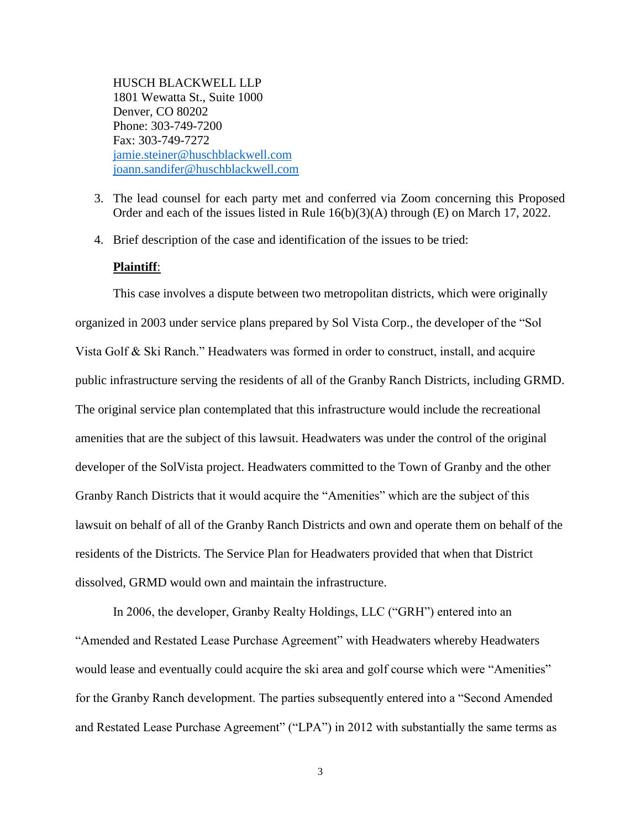HUSCH BLACKWELL LLP 1801 Wewatta St., Suite 1000 Denver, CO 80202 Phone: 303-749-7200 Fax: 303-749-7272 [jamie.steiner@huschblackwell.com](mailto:jamie.steiner@huschblackwell.com) [joann.sandifer@huschblackwell.com](mailto:joann.sandifer@huschblackwell.com)

- 3. The lead counsel for each party met and conferred via Zoom concerning this Proposed Order and each of the issues listed in Rule 16(b)(3)(A) through (E) on March 17, 2022.
- 4. Brief description of the case and identification of the issues to be tried:

### **Plaintiff**:

This case involves a dispute between two metropolitan districts, which were originally organized in 2003 under service plans prepared by Sol Vista Corp., the developer of the "Sol Vista Golf & Ski Ranch." Headwaters was formed in order to construct, install, and acquire public infrastructure serving the residents of all of the Granby Ranch Districts, including GRMD. The original service plan contemplated that this infrastructure would include the recreational amenities that are the subject of this lawsuit. Headwaters was under the control of the original developer of the SolVista project. Headwaters committed to the Town of Granby and the other Granby Ranch Districts that it would acquire the "Amenities" which are the subject of this lawsuit on behalf of all of the Granby Ranch Districts and own and operate them on behalf of the residents of the Districts. The Service Plan for Headwaters provided that when that District dissolved, GRMD would own and maintain the infrastructure.

In 2006, the developer, Granby Realty Holdings, LLC ("GRH") entered into an "Amended and Restated Lease Purchase Agreement" with Headwaters whereby Headwaters would lease and eventually could acquire the ski area and golf course which were "Amenities" for the Granby Ranch development. The parties subsequently entered into a "Second Amended and Restated Lease Purchase Agreement" ("LPA") in 2012 with substantially the same terms as

3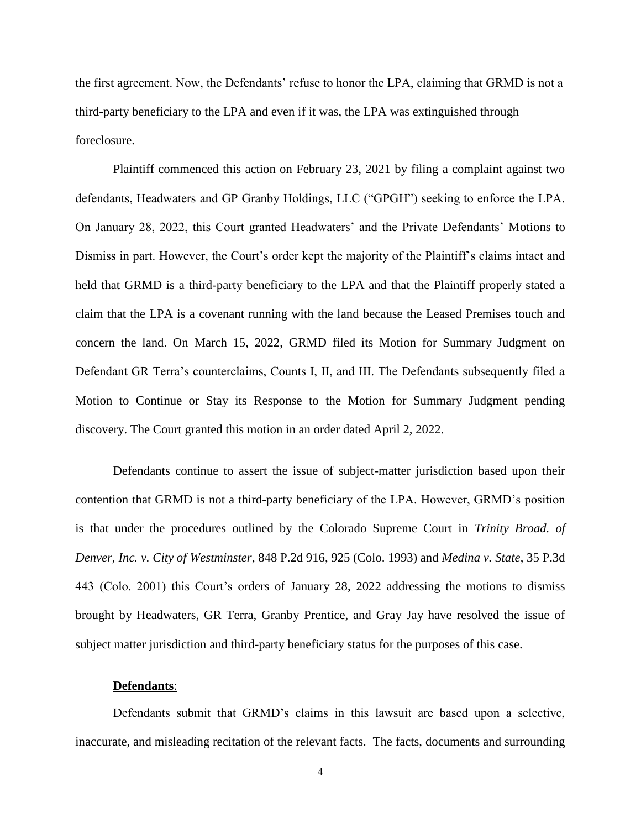the first agreement. Now, the Defendants' refuse to honor the LPA, claiming that GRMD is not a third-party beneficiary to the LPA and even if it was, the LPA was extinguished through foreclosure.

Plaintiff commenced this action on February 23, 2021 by filing a complaint against two defendants, Headwaters and GP Granby Holdings, LLC ("GPGH") seeking to enforce the LPA. On January 28, 2022, this Court granted Headwaters' and the Private Defendants' Motions to Dismiss in part. However, the Court's order kept the majority of the Plaintiff's claims intact and held that GRMD is a third-party beneficiary to the LPA and that the Plaintiff properly stated a claim that the LPA is a covenant running with the land because the Leased Premises touch and concern the land. On March 15, 2022, GRMD filed its Motion for Summary Judgment on Defendant GR Terra's counterclaims, Counts I, II, and III. The Defendants subsequently filed a Motion to Continue or Stay its Response to the Motion for Summary Judgment pending discovery. The Court granted this motion in an order dated April 2, 2022.

Defendants continue to assert the issue of subject-matter jurisdiction based upon their contention that GRMD is not a third-party beneficiary of the LPA. However, GRMD's position is that under the procedures outlined by the Colorado Supreme Court in *Trinity Broad. of Denver, Inc. v. City of Westminster*, 848 P.2d 916, 925 (Colo. 1993) and *Medina v. State*, 35 P.3d 443 (Colo. 2001) this Court's orders of January 28, 2022 addressing the motions to dismiss brought by Headwaters, GR Terra, Granby Prentice, and Gray Jay have resolved the issue of subject matter jurisdiction and third-party beneficiary status for the purposes of this case.

#### **Defendants**:

Defendants submit that GRMD's claims in this lawsuit are based upon a selective, inaccurate, and misleading recitation of the relevant facts. The facts, documents and surrounding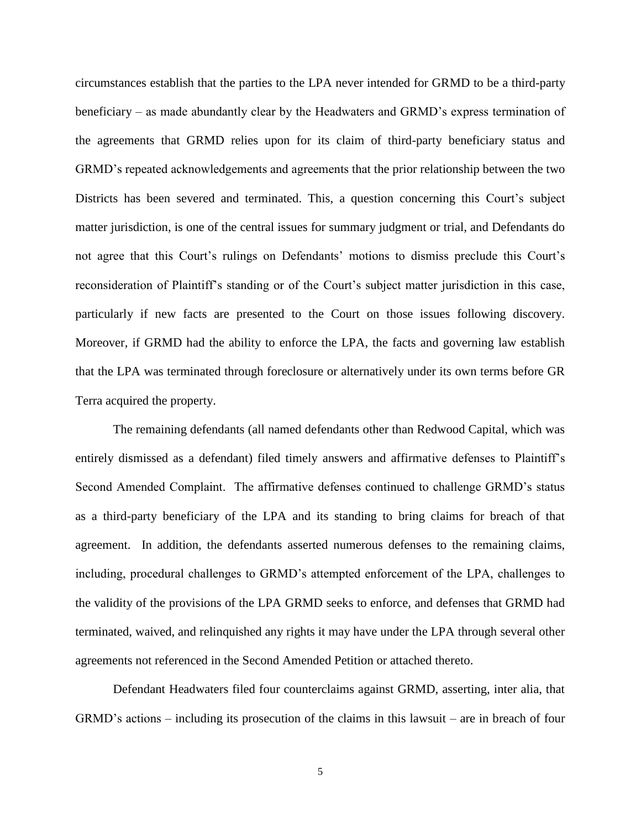circumstances establish that the parties to the LPA never intended for GRMD to be a third-party beneficiary – as made abundantly clear by the Headwaters and GRMD's express termination of the agreements that GRMD relies upon for its claim of third-party beneficiary status and GRMD's repeated acknowledgements and agreements that the prior relationship between the two Districts has been severed and terminated. This, a question concerning this Court's subject matter jurisdiction, is one of the central issues for summary judgment or trial, and Defendants do not agree that this Court's rulings on Defendants' motions to dismiss preclude this Court's reconsideration of Plaintiff's standing or of the Court's subject matter jurisdiction in this case, particularly if new facts are presented to the Court on those issues following discovery. Moreover, if GRMD had the ability to enforce the LPA, the facts and governing law establish that the LPA was terminated through foreclosure or alternatively under its own terms before GR Terra acquired the property.

The remaining defendants (all named defendants other than Redwood Capital, which was entirely dismissed as a defendant) filed timely answers and affirmative defenses to Plaintiff's Second Amended Complaint. The affirmative defenses continued to challenge GRMD's status as a third-party beneficiary of the LPA and its standing to bring claims for breach of that agreement. In addition, the defendants asserted numerous defenses to the remaining claims, including, procedural challenges to GRMD's attempted enforcement of the LPA, challenges to the validity of the provisions of the LPA GRMD seeks to enforce, and defenses that GRMD had terminated, waived, and relinquished any rights it may have under the LPA through several other agreements not referenced in the Second Amended Petition or attached thereto.

Defendant Headwaters filed four counterclaims against GRMD, asserting, inter alia, that GRMD's actions – including its prosecution of the claims in this lawsuit – are in breach of four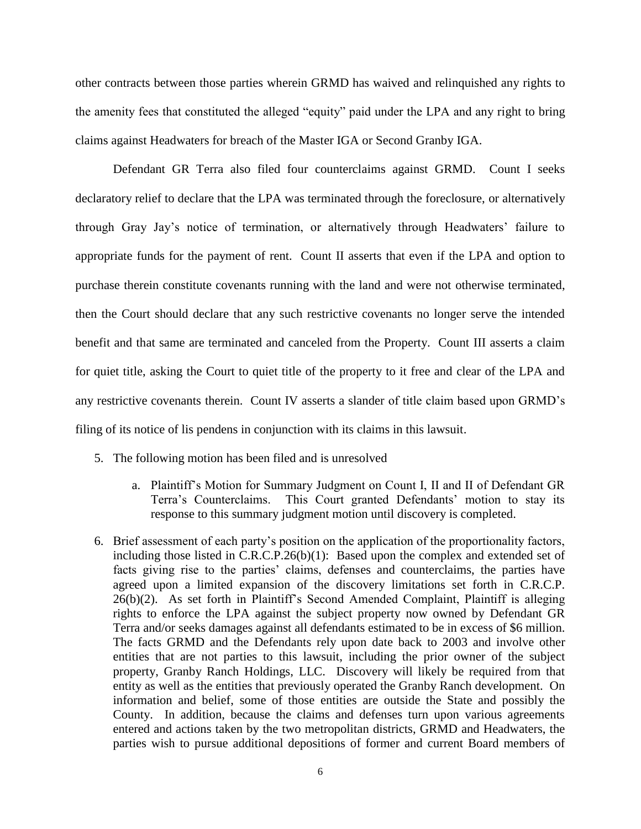other contracts between those parties wherein GRMD has waived and relinquished any rights to the amenity fees that constituted the alleged "equity" paid under the LPA and any right to bring claims against Headwaters for breach of the Master IGA or Second Granby IGA.

Defendant GR Terra also filed four counterclaims against GRMD. Count I seeks declaratory relief to declare that the LPA was terminated through the foreclosure, or alternatively through Gray Jay's notice of termination, or alternatively through Headwaters' failure to appropriate funds for the payment of rent. Count II asserts that even if the LPA and option to purchase therein constitute covenants running with the land and were not otherwise terminated, then the Court should declare that any such restrictive covenants no longer serve the intended benefit and that same are terminated and canceled from the Property. Count III asserts a claim for quiet title, asking the Court to quiet title of the property to it free and clear of the LPA and any restrictive covenants therein. Count IV asserts a slander of title claim based upon GRMD's filing of its notice of lis pendens in conjunction with its claims in this lawsuit.

- 5. The following motion has been filed and is unresolved
	- a. Plaintiff's Motion for Summary Judgment on Count I, II and II of Defendant GR Terra's Counterclaims. This Court granted Defendants' motion to stay its response to this summary judgment motion until discovery is completed.
- 6. Brief assessment of each party's position on the application of the proportionality factors, including those listed in C.R.C.P.26(b)(1): Based upon the complex and extended set of facts giving rise to the parties' claims, defenses and counterclaims, the parties have agreed upon a limited expansion of the discovery limitations set forth in C.R.C.P. 26(b)(2). As set forth in Plaintiff's Second Amended Complaint, Plaintiff is alleging rights to enforce the LPA against the subject property now owned by Defendant GR Terra and/or seeks damages against all defendants estimated to be in excess of \$6 million. The facts GRMD and the Defendants rely upon date back to 2003 and involve other entities that are not parties to this lawsuit, including the prior owner of the subject property, Granby Ranch Holdings, LLC. Discovery will likely be required from that entity as well as the entities that previously operated the Granby Ranch development. On information and belief, some of those entities are outside the State and possibly the County. In addition, because the claims and defenses turn upon various agreements entered and actions taken by the two metropolitan districts, GRMD and Headwaters, the parties wish to pursue additional depositions of former and current Board members of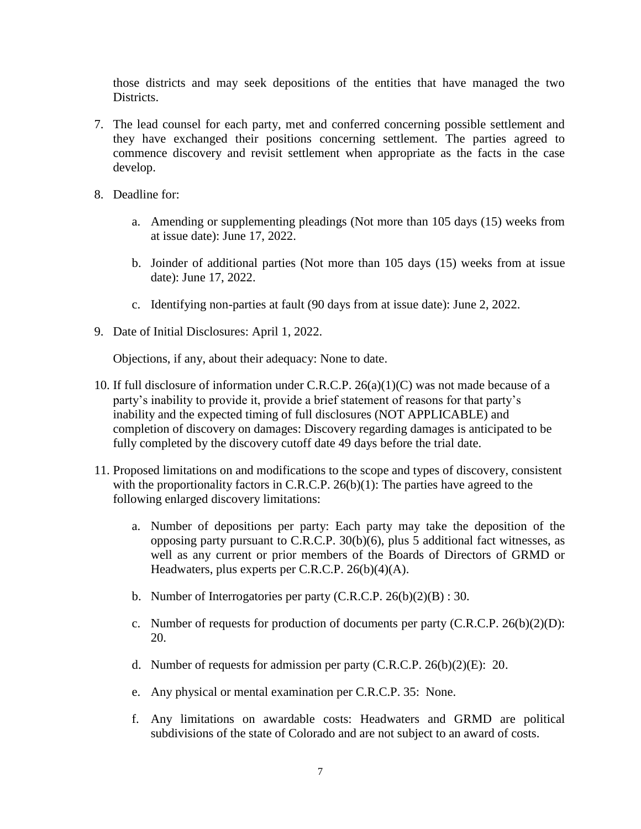those districts and may seek depositions of the entities that have managed the two Districts.

- 7. The lead counsel for each party, met and conferred concerning possible settlement and they have exchanged their positions concerning settlement. The parties agreed to commence discovery and revisit settlement when appropriate as the facts in the case develop.
- 8. Deadline for:
	- a. Amending or supplementing pleadings (Not more than 105 days (15) weeks from at issue date): June 17, 2022.
	- b. Joinder of additional parties (Not more than 105 days (15) weeks from at issue date): June 17, 2022.
	- c. Identifying non-parties at fault (90 days from at issue date): June 2, 2022.
- 9. Date of Initial Disclosures: April 1, 2022.

Objections, if any, about their adequacy: None to date.

- 10. If full disclosure of information under C.R.C.P. 26(a)(1)(C) was not made because of a party's inability to provide it, provide a brief statement of reasons for that party's inability and the expected timing of full disclosures (NOT APPLICABLE) and completion of discovery on damages: Discovery regarding damages is anticipated to be fully completed by the discovery cutoff date 49 days before the trial date.
- 11. Proposed limitations on and modifications to the scope and types of discovery, consistent with the proportionality factors in C.R.C.P. 26(b)(1): The parties have agreed to the following enlarged discovery limitations:
	- a. Number of depositions per party: Each party may take the deposition of the opposing party pursuant to C.R.C.P. 30(b)(6), plus 5 additional fact witnesses, as well as any current or prior members of the Boards of Directors of GRMD or Headwaters, plus experts per C.R.C.P. 26(b)(4)(A).
	- b. Number of Interrogatories per party (C.R.C.P. 26(b)(2)(B) : 30.
	- c. Number of requests for production of documents per party  $(C.R.C.P. 26(b)(2)(D))$ : 20.
	- d. Number of requests for admission per party (C.R.C.P. 26(b)(2)(E): 20.
	- e. Any physical or mental examination per C.R.C.P. 35: None.
	- f. Any limitations on awardable costs: Headwaters and GRMD are political subdivisions of the state of Colorado and are not subject to an award of costs.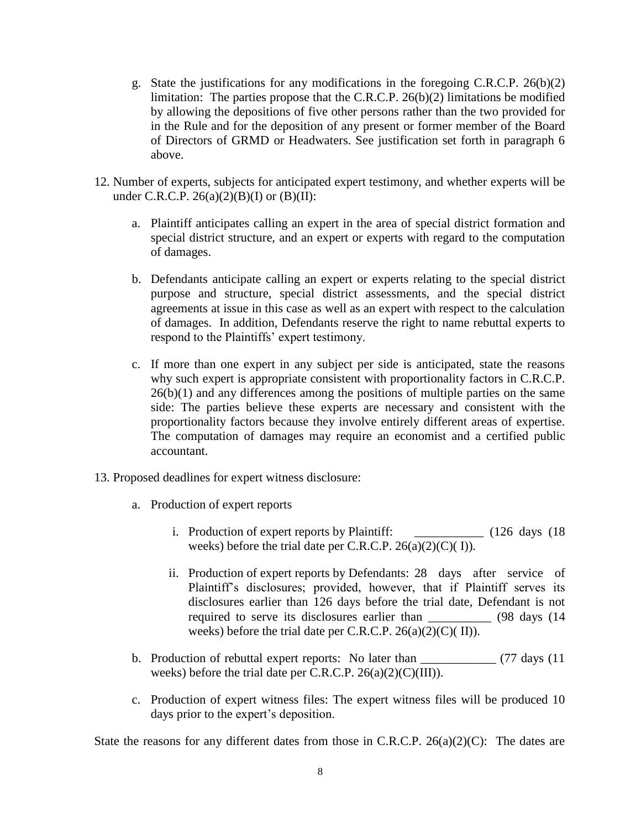- g. State the justifications for any modifications in the foregoing C.R.C.P. 26(b)(2) limitation: The parties propose that the C.R.C.P. 26(b)(2) limitations be modified by allowing the depositions of five other persons rather than the two provided for in the Rule and for the deposition of any present or former member of the Board of Directors of GRMD or Headwaters. See justification set forth in paragraph 6 above.
- 12. Number of experts, subjects for anticipated expert testimony, and whether experts will be under C.R.C.P.  $26(a)(2)(B)(I)$  or  $(B)(II)$ :
	- a. Plaintiff anticipates calling an expert in the area of special district formation and special district structure, and an expert or experts with regard to the computation of damages.
	- b. Defendants anticipate calling an expert or experts relating to the special district purpose and structure, special district assessments, and the special district agreements at issue in this case as well as an expert with respect to the calculation of damages. In addition, Defendants reserve the right to name rebuttal experts to respond to the Plaintiffs' expert testimony.
	- c. If more than one expert in any subject per side is anticipated, state the reasons why such expert is appropriate consistent with proportionality factors in C.R.C.P.  $26(b)(1)$  and any differences among the positions of multiple parties on the same side: The parties believe these experts are necessary and consistent with the proportionality factors because they involve entirely different areas of expertise. The computation of damages may require an economist and a certified public accountant.
- 13. Proposed deadlines for expert witness disclosure:
	- a. Production of expert reports
		- i. Production of expert reports by Plaintiff: \_\_\_\_\_\_\_\_\_\_\_\_ (126 days (18 weeks) before the trial date per C.R.C.P. 26(a)(2)(C)( I)).
		- ii. Production of expert reports by Defendants: 28 days after service of Plaintiff's disclosures; provided, however, that if Plaintiff serves its disclosures earlier than 126 days before the trial date, Defendant is not required to serve its disclosures earlier than \_\_\_\_\_\_\_\_\_\_ (98 days (14 weeks) before the trial date per C.R.C.P. 26(a)(2)(C)( II)).
	- b. Production of rebuttal expert reports: No later than \_\_\_\_\_\_\_\_\_\_\_\_ (77 days (11) weeks) before the trial date per C.R.C.P. 26(a)(2)(C)(III)).
	- c. Production of expert witness files: The expert witness files will be produced 10 days prior to the expert's deposition.

State the reasons for any different dates from those in C.R.C.P.  $26(a)(2)(C)$ : The dates are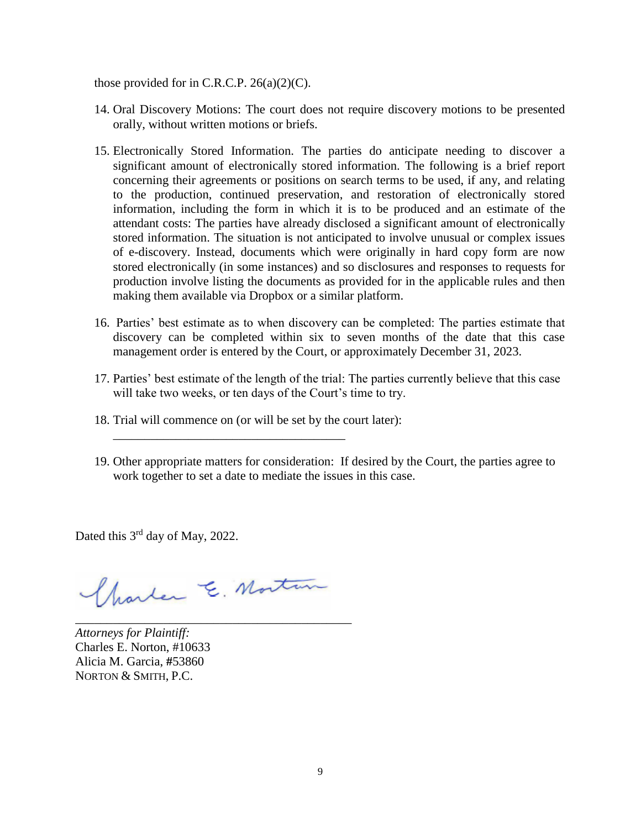those provided for in C.R.C.P.  $26(a)(2)(C)$ .

- 14. Oral Discovery Motions: The court does not require discovery motions to be presented orally, without written motions or briefs.
- 15. Electronically Stored Information. The parties do anticipate needing to discover a significant amount of electronically stored information. The following is a brief report concerning their agreements or positions on search terms to be used, if any, and relating to the production, continued preservation, and restoration of electronically stored information, including the form in which it is to be produced and an estimate of the attendant costs: The parties have already disclosed a significant amount of electronically stored information. The situation is not anticipated to involve unusual or complex issues of e-discovery. Instead, documents which were originally in hard copy form are now stored electronically (in some instances) and so disclosures and responses to requests for production involve listing the documents as provided for in the applicable rules and then making them available via Dropbox or a similar platform.
- 16. Parties' best estimate as to when discovery can be completed: The parties estimate that discovery can be completed within six to seven months of the date that this case management order is entered by the Court, or approximately December 31, 2023.
- 17. Parties' best estimate of the length of the trial: The parties currently believe that this case will take two weeks, or ten days of the Court's time to try.
- 18. Trial will commence on (or will be set by the court later):

\_\_\_\_\_\_\_\_\_\_\_\_\_\_\_\_\_\_\_\_\_\_\_\_\_\_\_\_\_\_\_\_\_\_\_\_\_

19. Other appropriate matters for consideration: If desired by the Court, the parties agree to work together to set a date to mediate the issues in this case.

Dated this 3<sup>rd</sup> day of May, 2022.

Charles E. Mortun

\_\_\_\_\_\_\_\_\_\_\_\_\_\_\_\_\_\_\_\_\_\_\_\_\_\_\_\_\_\_\_\_\_\_\_\_\_\_\_\_\_\_\_\_

*Attorneys for Plaintiff:* Charles E. Norton, #10633 Alicia M. Garcia, **#**53860 NORTON & SMITH, P.C.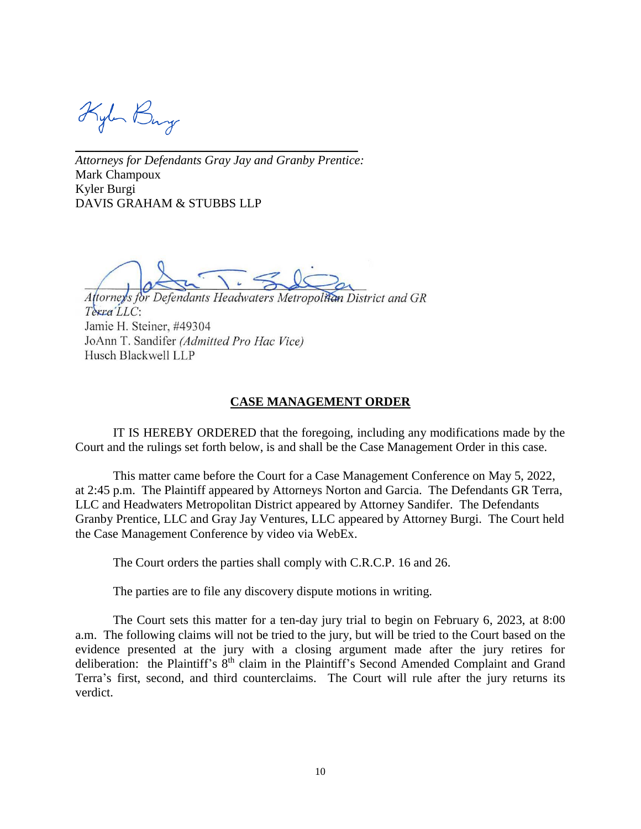Kylen Bury

*Attorneys for Defendants Gray Jay and Granby Prentice:*  Mark Champoux Kyler Burgi DAVIS GRAHAM & STUBBS LLP

\_\_\_\_\_\_\_\_\_\_\_\_\_\_\_\_\_\_\_\_\_\_\_\_\_\_\_\_\_\_\_\_\_\_\_\_\_\_\_\_\_\_\_\_\_

Attorney's for Defendants Headwaters Metropolitan District and GR Terra LLC: Jamie H. Steiner, #49304 JoAnn T. Sandifer (Admitted Pro Hac Vice) Husch Blackwell LLP

### **CASE MANAGEMENT ORDER**

IT IS HEREBY ORDERED that the foregoing, including any modifications made by the Court and the rulings set forth below, is and shall be the Case Management Order in this case.

This matter came before the Court for a Case Management Conference on May 5, 2022, at 2:45 p.m. The Plaintiff appeared by Attorneys Norton and Garcia. The Defendants GR Terra, LLC and Headwaters Metropolitan District appeared by Attorney Sandifer. The Defendants Granby Prentice, LLC and Gray Jay Ventures, LLC appeared by Attorney Burgi. The Court held the Case Management Conference by video via WebEx.

The Court orders the parties shall comply with C.R.C.P. 16 and 26.

The parties are to file any discovery dispute motions in writing.

The Court sets this matter for a ten-day jury trial to begin on February 6, 2023, at 8:00 a.m. The following claims will not be tried to the jury, but will be tried to the Court based on the evidence presented at the jury with a closing argument made after the jury retires for deliberation: the Plaintiff's 8<sup>th</sup> claim in the Plaintiff's Second Amended Complaint and Grand Terra's first, second, and third counterclaims. The Court will rule after the jury returns its verdict.